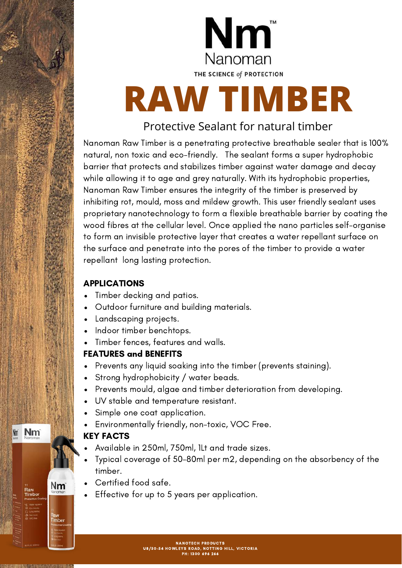

# **RAW TIMBER**

#### Protective Sealant for natural timber

Nanoman Raw Timber is a penetrating protective breathable sealer that is 100% natural, non toxic and eco-friendly. The sealant forms a super hydrophobic barrier that protects and stabilizes timber against water damage and decay while allowing it to age and grey naturally. With its hydrophobic properties, Nanoman Raw Timber ensures the integrity of the timber is preserved by inhibiting rot, mould, moss and mildew growth. This user friendly sealant uses proprietary nanotechnology to form a flexible breathable barrier by coating the wood fibres at the cellular level. Once applied the nano particles self-organise to form an invisible protective layer that creates a water repellant surface on the surface and penetrate into the pores of the timber to provide a water repellant long lasting protection.

#### APPLICATIONS

- Timber decking and patios.
- Outdoor furniture and building materials.
- Landscaping projects.  $\bullet$
- Indoor timber benchtops.  $\bullet$
- Timber fences, features and walls.

#### FEATURES and BENEFITS

- Prevents any liquid soaking into the timber (prevents staining).
- Strong hydrophobicity / water beads.
- Prevents mould, algae and timber deterioration from developing.  $\bullet$
- UV stable and temperature resistant.
- Simple one coat application.
- Environmentally friendly, non-toxic, VOC Free.

#### KEY FACTS

- Available in 250ml, 750ml, 1Lt and trade sizes.
- Typical coverage of 50-80ml per m2, depending on the absorbency of the timber.
- Certified food safe.
- Effective for up to 5 years per application.

Nm

Nm

Raw **Timbe** 

**Nm**